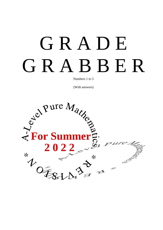# G R A D E G R A B B E R

Numbers 1 to 5

(With answers)

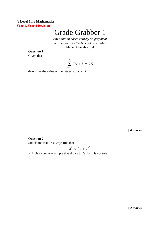# **A-Level Pure Mathematics Year 1, Year 2 Revision**

# Grade Grabber 1

*Any solution based entirely on graphical or numerical methods is not acceptable* Marks Available : 34

**Question 1**

Given that

$$
\sum_{m=1}^{k} 7m + 3 = 777
$$

determine the value of the integer constant *k*

**[ 4 marks ]**

# **Question 2**

Sid claims that it's always true that

$$
x^2 < \left(x+1\right)^2
$$

Exhibit a counter-example that shows Sid's claim is not true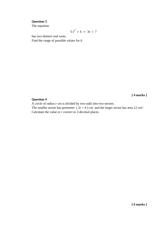# **Question 3**

The equation

$$
5x^2 + k = 3x + 7
$$

has two distinct real roots.

Find the range of possible values for *k*.

### **Question 4**

**[ 4 marks ]**

A circle of radius *r* cm is divided by two radii into two sectors.

The smaller sector has perimeter  $(2r + 4)$  cm and the larger sector has area 12 cm<sup>2</sup>. Calculate the value or *r* correct to 3 decimal places.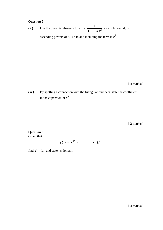# **Question 5**

1 ( i ) Use the binomial theorem to write  $\frac{1}{(1-x)^3}$  as a polynomial, in ascending powers of x, up to and including the term in  $x^3$ 

# **[ 4 marks ]**

**( ii )** By spotting a connection with the triangular numbers, state the coefficient in the expansion of  $x^8$ 

**[ 2 marks ]**

# **Question 6**

Given that

$$
f(x) = e^{5x} - 1, \qquad x \in \mathbb{R}
$$

find  $f^{-1}(x)$  and state its domain.

**[ 4 marks ]**